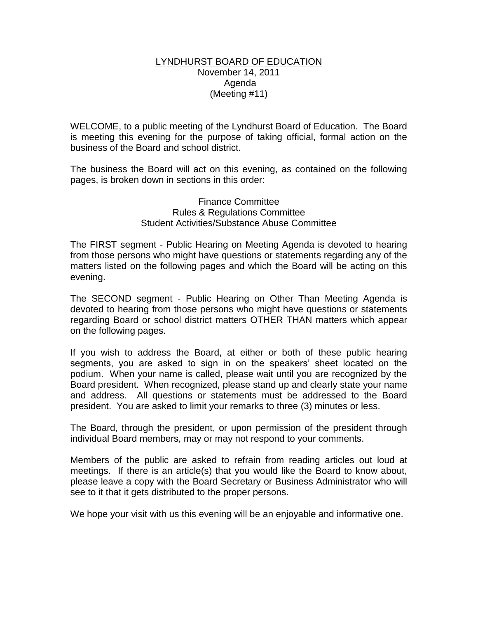#### LYNDHURST BOARD OF EDUCATION November 14, 2011 Agenda (Meeting #11)

WELCOME, to a public meeting of the Lyndhurst Board of Education. The Board is meeting this evening for the purpose of taking official, formal action on the business of the Board and school district.

The business the Board will act on this evening, as contained on the following pages, is broken down in sections in this order:

#### Finance Committee Rules & Regulations Committee Student Activities/Substance Abuse Committee

The FIRST segment - Public Hearing on Meeting Agenda is devoted to hearing from those persons who might have questions or statements regarding any of the matters listed on the following pages and which the Board will be acting on this evening.

The SECOND segment - Public Hearing on Other Than Meeting Agenda is devoted to hearing from those persons who might have questions or statements regarding Board or school district matters OTHER THAN matters which appear on the following pages.

If you wish to address the Board, at either or both of these public hearing segments, you are asked to sign in on the speakers' sheet located on the podium. When your name is called, please wait until you are recognized by the Board president. When recognized, please stand up and clearly state your name and address. All questions or statements must be addressed to the Board president. You are asked to limit your remarks to three (3) minutes or less.

The Board, through the president, or upon permission of the president through individual Board members, may or may not respond to your comments.

Members of the public are asked to refrain from reading articles out loud at meetings. If there is an article(s) that you would like the Board to know about, please leave a copy with the Board Secretary or Business Administrator who will see to it that it gets distributed to the proper persons.

We hope your visit with us this evening will be an enjoyable and informative one.